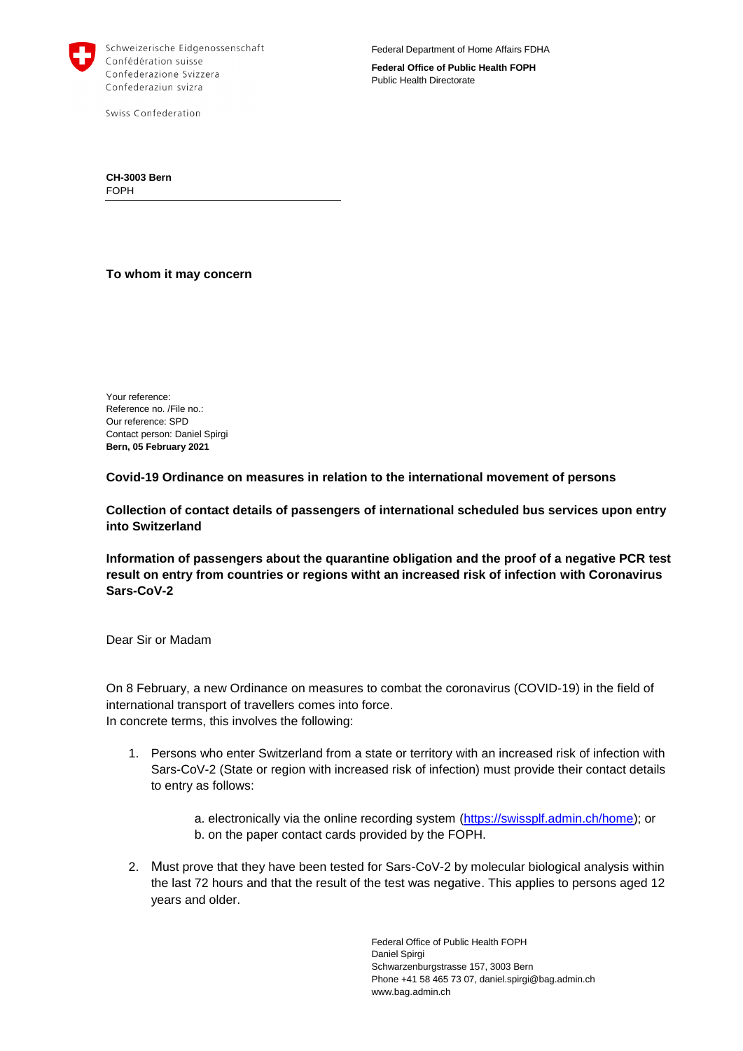

Schweizerische Eidgenossenschaft Confédération suisse Confederazione Svizzera Confederaziun svizra

Swiss Confederation

**Federal Office of Public Health FOPH** Public Health Directorate

**CH-3003 Bern** FOPH

**To whom it may concern**

Your reference: Reference no. /File no.: Our reference: SPD Contact person: Daniel Spirgi **Bern, 05 February 2021**

**Covid-19 Ordinance on measures in relation to the international movement of persons**

**Collection of contact details of passengers of international scheduled bus services upon entry into Switzerland**

**Information of passengers about the quarantine obligation and the proof of a negative PCR test result on entry from countries or regions witht an increased risk of infection with Coronavirus Sars-CoV-2**

Dear Sir or Madam

On 8 February, a new Ordinance on measures to combat the coronavirus (COVID-19) in the field of international transport of travellers comes into force. In concrete terms, this involves the following:

1. Persons who enter Switzerland from a state or territory with an increased risk of infection with Sars-CoV-2 (State or region with increased risk of infection) must provide their contact details to entry as follows:

> a. electronically via the online recording system [\(https://swissplf.admin.ch/home\)](https://swissplf.admin.ch/home); or b. on the paper contact cards provided by the FOPH.

2. Must prove that they have been tested for Sars-CoV-2 by molecular biological analysis within the last 72 hours and that the result of the test was negative. This applies to persons aged 12 years and older.

> Federal Office of Public Health FOPH Daniel Spirgi Schwarzenburgstrasse 157, 3003 Bern Phone +41 58 465 73 07, daniel.spirgi@bag.admin.ch www.bag.admin.ch